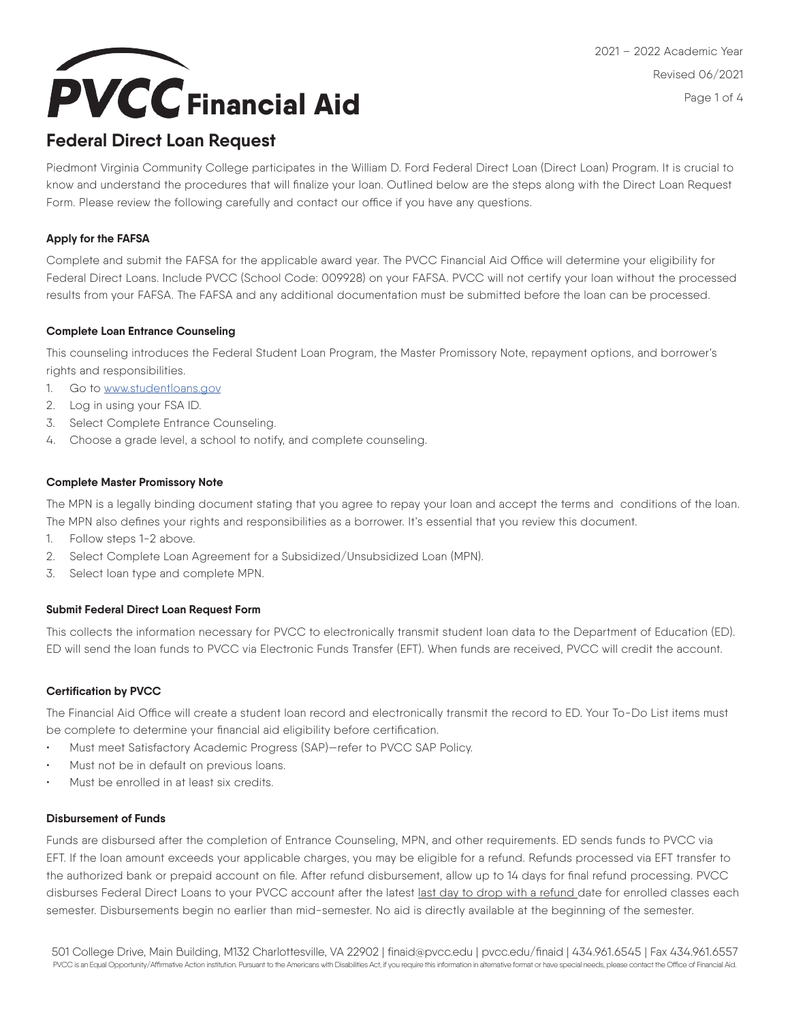# **PVCC** Financial Aid

2021 – 2022 Academic Year Revised 06/2021 Page 1 of 4

# **Federal Direct Loan Request**

Piedmont Virginia Community College participates in the William D. Ford Federal Direct Loan (Direct Loan) Program. It is crucial to know and understand the procedures that will finalize your loan. Outlined below are the steps along with the Direct Loan Request Form. Please review the following carefully and contact our office if you have any questions.

#### **Apply for the FAFSA**

Complete and submit the FAFSA for the applicable award year. The PVCC Financial Aid Office will determine your eligibility for Federal Direct Loans. Include PVCC (School Code: 009928) on your FAFSA. PVCC will not certify your loan without the processed results from your FAFSA. The FAFSA and any additional documentation must be submitted before the loan can be processed.

#### **Complete Loan Entrance Counseling**

This counseling introduces the Federal Student Loan Program, the Master Promissory Note, repayment options, and borrower's rights and responsibilities.

- 1. Go to www.studentloans.gov
- 2. Log in using your FSA ID.
- 3. Select Complete Entrance Counseling.
- 4. Choose a grade level, a school to notify, and complete counseling.

#### **Complete Master Promissory Note**

The MPN is a legally binding document stating that you agree to repay your loan and accept the terms and conditions of the loan. The MPN also defines your rights and responsibilities as a borrower. It's essential that you review this document.

- 1. Follow steps 1-2 above.
- 2. Select Complete Loan Agreement for a Subsidized/Unsubsidized Loan (MPN).
- 3. Select loan type and complete MPN.

#### **Submit Federal Direct Loan Request Form**

This collects the information necessary for PVCC to electronically transmit student loan data to the Department of Education (ED). ED will send the loan funds to PVCC via Electronic Funds Transfer (EFT). When funds are received, PVCC will credit the account.

#### **Certification by PVCC**

The Financial Aid Office will create a student loan record and electronically transmit the record to ED. Your To-Do List items must be complete to determine your financial aid eligibility before certification.

- Must meet Satisfactory Academic Progress (SAP)—refer to PVCC SAP Policy.
- Must not be in default on previous loans.
- Must be enrolled in at least six credits.

#### **Disbursement of Funds**

Funds are disbursed after the completion of Entrance Counseling, MPN, and other requirements. ED sends funds to PVCC via EFT. If the loan amount exceeds your applicable charges, you may be eligible for a refund. Refunds processed via EFT transfer to the authorized bank or prepaid account on file. After refund disbursement, allow up to 14 days for final refund processing. PVCC disburses Federal Direct Loans to your PVCC account after the latest last day to drop with a refund date for enrolled classes each semester. Disbursements begin no earlier than mid-semester. No aid is directly available at the beginning of the semester.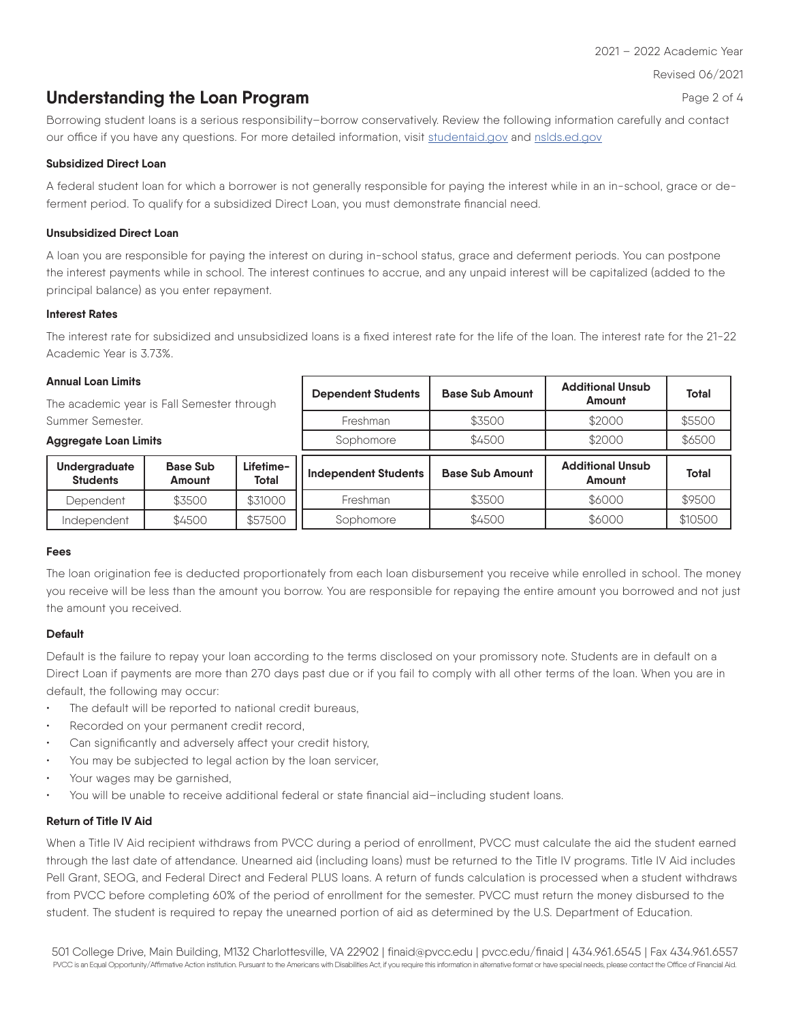Revised 06/2021

# **Understanding the Loan Program Page 2 of 4**

Borrowing student loans is a serious responsibility–borrow conservatively. Review the following information carefully and contact our office if you have any questions. For more detailed information, visit studentaid.gov and nslds.ed.gov

#### **Subsidized Direct Loan**

A federal student loan for which a borrower is not generally responsible for paying the interest while in an in-school, grace or deferment period. To qualify for a subsidized Direct Loan, you must demonstrate financial need.

#### **Unsubsidized Direct Loan**

A loan you are responsible for paying the interest on during in-school status, grace and deferment periods. You can postpone the interest payments while in school. The interest continues to accrue, and any unpaid interest will be capitalized (added to the principal balance) as you enter repayment.

#### **Interest Rates**

The interest rate for subsidized and unsubsidized loans is a fixed interest rate for the life of the loan. The interest rate for the 21-22 Academic Year is 3.73%.

| <b>Annual Loan Limits</b>                  |                           |                    | <b>Dependent Students</b>   | <b>Base Sub Amount</b> | <b>Additional Unsub</b>           | <b>Total</b> |
|--------------------------------------------|---------------------------|--------------------|-----------------------------|------------------------|-----------------------------------|--------------|
| The academic year is Fall Semester through |                           |                    |                             | Amount                 |                                   |              |
| Summer Semester.                           |                           |                    | Freshman                    | \$3500                 | \$2000                            | \$5500       |
| <b>Aggregate Loan Limits</b>               |                           |                    | Sophomore                   | \$4500                 | \$2000                            | \$6500       |
|                                            |                           |                    |                             |                        |                                   |              |
| <b>Undergraduate</b><br><b>Students</b>    | <b>Base Sub</b><br>Amount | Lifetime-<br>Total | <b>Independent Students</b> | <b>Base Sub Amount</b> | <b>Additional Unsub</b><br>Amount | <b>Total</b> |
| Dependent                                  | \$3500                    | \$31000            | Freshman                    | \$3500                 | \$6000                            | \$9500       |

#### **Fees**

The loan origination fee is deducted proportionately from each loan disbursement you receive while enrolled in school. The money you receive will be less than the amount you borrow. You are responsible for repaying the entire amount you borrowed and not just the amount you received.

#### **Default**

Default is the failure to repay your loan according to the terms disclosed on your promissory note. Students are in default on a Direct Loan if payments are more than 270 days past due or if you fail to comply with all other terms of the loan. When you are in default, the following may occur:

- The default will be reported to national credit bureaus,
- Recorded on your permanent credit record,
- Can significantly and adversely affect your credit history,
- You may be subjected to legal action by the loan servicer,
- Your wages may be garnished,
- You will be unable to receive additional federal or state financial aid–including student loans.

#### **Return of Title IV Aid**

When a Title IV Aid recipient withdraws from PVCC during a period of enrollment, PVCC must calculate the aid the student earned through the last date of attendance. Unearned aid (including loans) must be returned to the Title IV programs. Title IV Aid includes Pell Grant, SEOG, and Federal Direct and Federal PLUS loans. A return of funds calculation is processed when a student withdraws from PVCC before completing 60% of the period of enrollment for the semester. PVCC must return the money disbursed to the student. The student is required to repay the unearned portion of aid as determined by the U.S. Department of Education.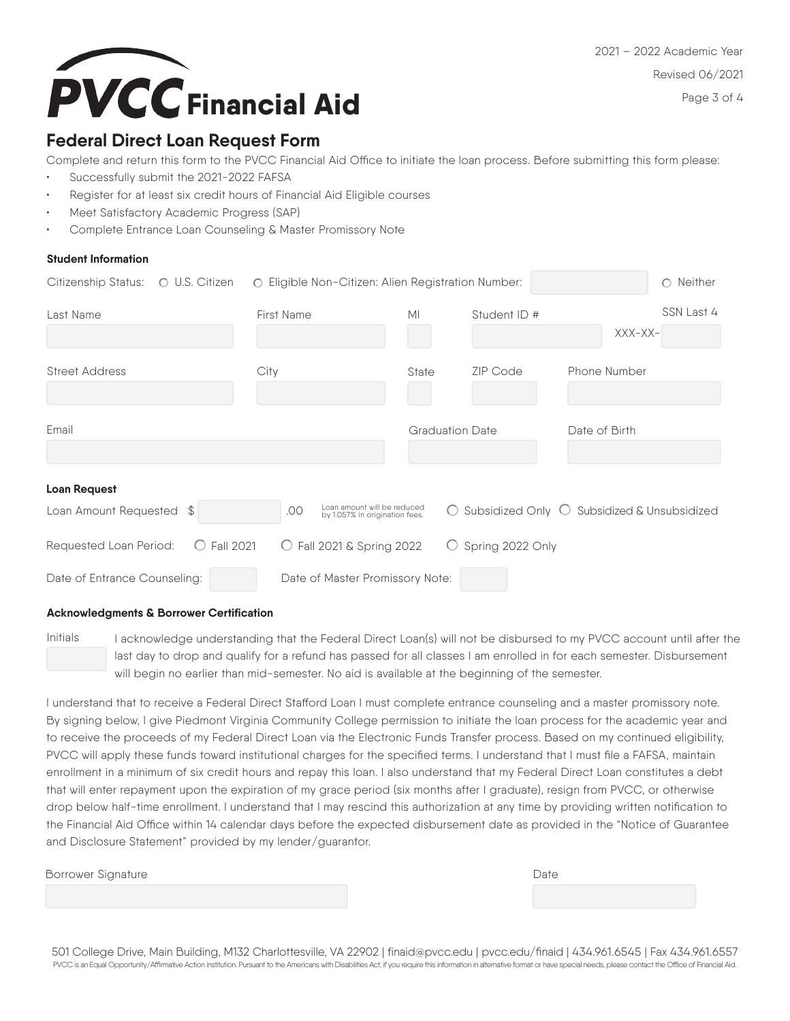

### **Federal Direct Loan Request Form**

Complete and return this form to the PVCC Financial Aid Office to initiate the loan process. Before submitting this form please:

- Successfully submit the 2021-2022 FAFSA
- Register for at least six credit hours of Financial Aid Eligible courses
- Meet Satisfactory Academic Progress (SAP)
- Complete Entrance Loan Counseling & Master Promissory Note

#### **Student Information**

| Citizenship Status: 0 U.S. Citizen |                      | O Eligible Non-Citizen: Alien Registration Number:                   |                        |                  | $\bigcirc$ Neither                            |
|------------------------------------|----------------------|----------------------------------------------------------------------|------------------------|------------------|-----------------------------------------------|
| Last Name                          |                      | First Name                                                           | M <sub>l</sub>         | Student ID #     | SSN Last 4<br>$XXX-XX-$                       |
| <b>Street Address</b>              |                      | City                                                                 | State                  | ZIP Code         | Phone Number                                  |
| Email                              |                      |                                                                      | <b>Graduation Date</b> |                  | Date of Birth                                 |
| <b>Loan Request</b>                |                      |                                                                      |                        |                  |                                               |
| Loan Amount Requested \$           |                      | Loan amount will be reduced<br>.00<br>by 1.057% in origination fees. |                        |                  | ○ Subsidized Only ○ Subsidized & Unsubsidized |
| Requested Loan Period:             | Fall 2021<br>$\circ$ | ◯ Fall 2021 & Spring 2022                                            | $\bigcirc$             | Spring 2022 Only |                                               |
| Date of Entrance Counseling:       |                      | Date of Master Promissory Note:                                      |                        |                  |                                               |

#### **Acknowledgments & Borrower Certification**

Initials

I acknowledge understanding that the Federal Direct Loan(s) will not be disbursed to my PVCC account until after the last day to drop and qualify for a refund has passed for all classes I am enrolled in for each semester. Disbursement will begin no earlier than mid-semester. No aid is available at the beginning of the semester.

I understand that to receive a Federal Direct Stafford Loan I must complete entrance counseling and a master promissory note. By signing below, I give Piedmont Virginia Community College permission to initiate the loan process for the academic year and to receive the proceeds of my Federal Direct Loan via the Electronic Funds Transfer process. Based on my continued eligibility, PVCC will apply these funds toward institutional charges for the specified terms. I understand that I must file a FAFSA, maintain enrollment in a minimum of six credit hours and repay this loan. I also understand that my Federal Direct Loan constitutes a debt that will enter repayment upon the expiration of my grace period (six months after I graduate), resign from PVCC, or otherwise drop below half-time enrollment. I understand that I may rescind this authorization at any time by providing written notification to the Financial Aid Office within 14 calendar days before the expected disbursement date as provided in the "Notice of Guarantee and Disclosure Statement" provided by my lender/guarantor.

Borrower Signature

| Date |  |  |
|------|--|--|
|      |  |  |